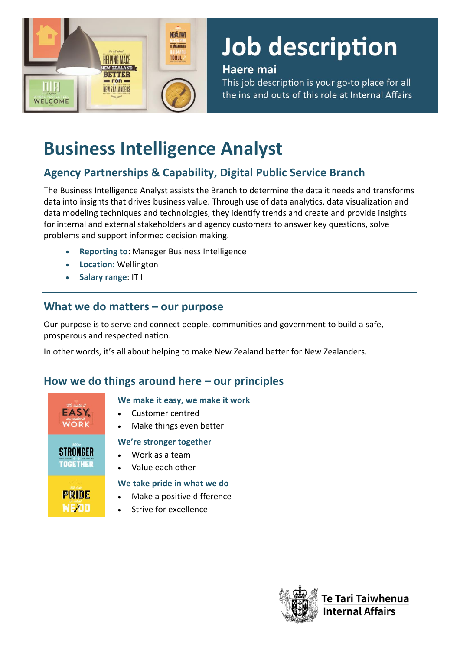

# **Job description**

#### Haere mai

This job description is your go-to place for all the ins and outs of this role at Internal Affairs

# **Business Intelligence Analyst**

# **Agency Partnerships & Capability, Digital Public Service Branch**

The Business Intelligence Analyst assists the Branch to determine the data it needs and transforms data into insights that drives business value. Through use of data analytics, data visualization and data modeling techniques and technologies, they identify trends and create and provide insights for internal and external stakeholders and agency customers to answer key questions, solve problems and support informed decision making.

- **Reporting to**: Manager Business Intelligence
- **Location:** Wellington
- **Salary range**: IT I

### **What we do matters – our purpose**

Our purpose is to serve and connect people, communities and government to build a safe, prosperous and respected nation.

In other words, it's all about helping to make New Zealand better for New Zealanders.

# **How we do things around here – our principles**

| We make it  |  |
|-------------|--|
|             |  |
| we make it  |  |
| <b>JOBK</b> |  |

**STRONGER TOGETHER** 

PRIDE **WEDO** 

#### **We make it easy, we make it work**

- Customer centred
- Make things even better

#### **We're stronger together**

- Work as a team
- Value each other

#### **We take pride in what we do**

- Make a positive difference
- Strive for excellence

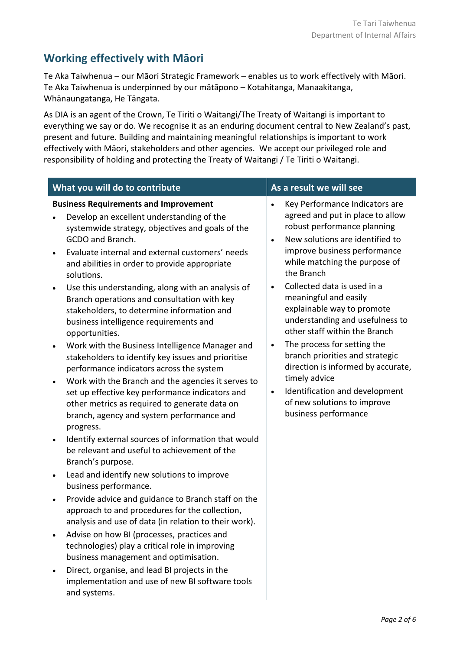## **Working effectively with Māori**

Te Aka Taiwhenua – our Māori Strategic Framework – enables us to work effectively with Māori. Te Aka Taiwhenua is underpinned by our mātāpono – Kotahitanga, Manaakitanga, Whānaungatanga, He Tāngata.

As DIA is an agent of the Crown, Te Tiriti o Waitangi/The Treaty of Waitangi is important to everything we say or do. We recognise it as an enduring document central to New Zealand's past, present and future. Building and maintaining meaningful relationships is important to work effectively with Māori, stakeholders and other agencies. We accept our privileged role and responsibility of holding and protecting the Treaty of Waitangi / Te Tiriti o Waitangi.

|                                                   | What you will do to contribute                                                                                                                                                                                                                                                                                                                                                                                                                                                                                                                                                                                                                                                                                                                                                                                                                                                                         |                                                               | As a result we will see                                                                                                                                                                                                                                                                                                                                                                                                                                                                                                                                                                         |
|---------------------------------------------------|--------------------------------------------------------------------------------------------------------------------------------------------------------------------------------------------------------------------------------------------------------------------------------------------------------------------------------------------------------------------------------------------------------------------------------------------------------------------------------------------------------------------------------------------------------------------------------------------------------------------------------------------------------------------------------------------------------------------------------------------------------------------------------------------------------------------------------------------------------------------------------------------------------|---------------------------------------------------------------|-------------------------------------------------------------------------------------------------------------------------------------------------------------------------------------------------------------------------------------------------------------------------------------------------------------------------------------------------------------------------------------------------------------------------------------------------------------------------------------------------------------------------------------------------------------------------------------------------|
| solutions.<br>$\bullet$<br>progress.<br>$\bullet$ | <b>Business Requirements and Improvement</b><br>Develop an excellent understanding of the<br>systemwide strategy, objectives and goals of the<br>GCDO and Branch.<br>Evaluate internal and external customers' needs<br>and abilities in order to provide appropriate<br>Use this understanding, along with an analysis of<br>Branch operations and consultation with key<br>stakeholders, to determine information and<br>business intelligence requirements and<br>opportunities.<br>Work with the Business Intelligence Manager and<br>stakeholders to identify key issues and prioritise<br>performance indicators across the system<br>Work with the Branch and the agencies it serves to<br>set up effective key performance indicators and<br>other metrics as required to generate data on<br>branch, agency and system performance and<br>Identify external sources of information that would | $\bullet$<br>$\bullet$<br>$\bullet$<br>$\bullet$<br>$\bullet$ | Key Performance Indicators are<br>agreed and put in place to allow<br>robust performance planning<br>New solutions are identified to<br>improve business performance<br>while matching the purpose of<br>the Branch<br>Collected data is used in a<br>meaningful and easily<br>explainable way to promote<br>understanding and usefulness to<br>other staff within the Branch<br>The process for setting the<br>branch priorities and strategic<br>direction is informed by accurate,<br>timely advice<br>Identification and development<br>of new solutions to improve<br>business performance |
| ٠                                                 | Branch's purpose.<br>Lead and identify new solutions to improve<br>business performance.                                                                                                                                                                                                                                                                                                                                                                                                                                                                                                                                                                                                                                                                                                                                                                                                               |                                                               |                                                                                                                                                                                                                                                                                                                                                                                                                                                                                                                                                                                                 |
| $\bullet$                                         | Provide advice and guidance to Branch staff on the<br>approach to and procedures for the collection,<br>analysis and use of data (in relation to their work).                                                                                                                                                                                                                                                                                                                                                                                                                                                                                                                                                                                                                                                                                                                                          |                                                               |                                                                                                                                                                                                                                                                                                                                                                                                                                                                                                                                                                                                 |
|                                                   | Advise on how BI (processes, practices and<br>technologies) play a critical role in improving<br>business management and optimisation.                                                                                                                                                                                                                                                                                                                                                                                                                                                                                                                                                                                                                                                                                                                                                                 |                                                               |                                                                                                                                                                                                                                                                                                                                                                                                                                                                                                                                                                                                 |
|                                                   | Direct, organise, and lead BI projects in the<br>implementation and use of new BI software tools<br>and systems.                                                                                                                                                                                                                                                                                                                                                                                                                                                                                                                                                                                                                                                                                                                                                                                       |                                                               |                                                                                                                                                                                                                                                                                                                                                                                                                                                                                                                                                                                                 |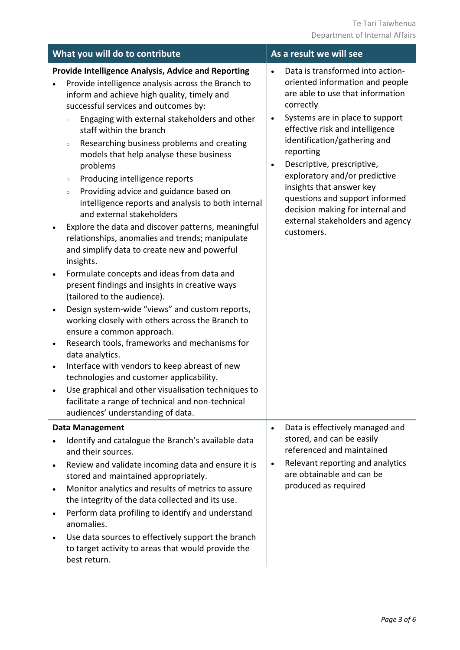| What you will do to contribute                                                                                                                                                                                                                                                                                                                                                                                                                                                                                                                                                                                                                                                                                                                                                                                                                                                                                                                                                                                                                                                                                                                                                                                                                                                                                                                                                                                                 | As a result we will see                                                                                                                                                                                                                                                                                                                                                                                                                                                                           |
|--------------------------------------------------------------------------------------------------------------------------------------------------------------------------------------------------------------------------------------------------------------------------------------------------------------------------------------------------------------------------------------------------------------------------------------------------------------------------------------------------------------------------------------------------------------------------------------------------------------------------------------------------------------------------------------------------------------------------------------------------------------------------------------------------------------------------------------------------------------------------------------------------------------------------------------------------------------------------------------------------------------------------------------------------------------------------------------------------------------------------------------------------------------------------------------------------------------------------------------------------------------------------------------------------------------------------------------------------------------------------------------------------------------------------------|---------------------------------------------------------------------------------------------------------------------------------------------------------------------------------------------------------------------------------------------------------------------------------------------------------------------------------------------------------------------------------------------------------------------------------------------------------------------------------------------------|
| <b>Provide Intelligence Analysis, Advice and Reporting</b><br>Provide intelligence analysis across the Branch to<br>inform and achieve high quality, timely and<br>successful services and outcomes by:<br>Engaging with external stakeholders and other<br>$\circ$<br>staff within the branch<br>Researching business problems and creating<br>$\circ$<br>models that help analyse these business<br>problems<br>Producing intelligence reports<br>$\circ$<br>Providing advice and guidance based on<br>$\circ$<br>intelligence reports and analysis to both internal<br>and external stakeholders<br>Explore the data and discover patterns, meaningful<br>$\bullet$<br>relationships, anomalies and trends; manipulate<br>and simplify data to create new and powerful<br>insights.<br>Formulate concepts and ideas from data and<br>$\bullet$<br>present findings and insights in creative ways<br>(tailored to the audience).<br>Design system-wide "views" and custom reports,<br>$\bullet$<br>working closely with others across the Branch to<br>ensure a common approach.<br>Research tools, frameworks and mechanisms for<br>$\bullet$<br>data analytics.<br>Interface with vendors to keep abreast of new<br>$\bullet$<br>technologies and customer applicability.<br>Use graphical and other visualisation techniques to<br>facilitate a range of technical and non-technical<br>audiences' understanding of data. | Data is transformed into action-<br>$\bullet$<br>oriented information and people<br>are able to use that information<br>correctly<br>Systems are in place to support<br>$\bullet$<br>effective risk and intelligence<br>identification/gathering and<br>reporting<br>Descriptive, prescriptive,<br>$\bullet$<br>exploratory and/or predictive<br>insights that answer key<br>questions and support informed<br>decision making for internal and<br>external stakeholders and agency<br>customers. |
| <b>Data Management</b><br>Identify and catalogue the Branch's available data<br>and their sources.<br>Review and validate incoming data and ensure it is<br>stored and maintained appropriately.<br>Monitor analytics and results of metrics to assure<br>$\bullet$<br>the integrity of the data collected and its use.<br>Perform data profiling to identify and understand<br>$\bullet$<br>anomalies.<br>Use data sources to effectively support the branch<br>to target activity to areas that would provide the<br>best return.                                                                                                                                                                                                                                                                                                                                                                                                                                                                                                                                                                                                                                                                                                                                                                                                                                                                                            | Data is effectively managed and<br>$\bullet$<br>stored, and can be easily<br>referenced and maintained<br>Relevant reporting and analytics<br>$\bullet$<br>are obtainable and can be<br>produced as required                                                                                                                                                                                                                                                                                      |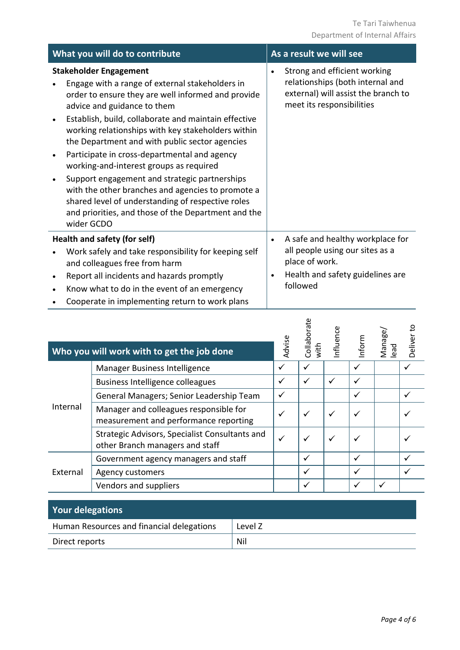| What you will do to contribute                                                                                                                                                                                                                                                                                                                                                                                                                                                                                                                                                                                                                                                     | As a result we will see                                                                                                                                         |
|------------------------------------------------------------------------------------------------------------------------------------------------------------------------------------------------------------------------------------------------------------------------------------------------------------------------------------------------------------------------------------------------------------------------------------------------------------------------------------------------------------------------------------------------------------------------------------------------------------------------------------------------------------------------------------|-----------------------------------------------------------------------------------------------------------------------------------------------------------------|
| <b>Stakeholder Engagement</b><br>Engage with a range of external stakeholders in<br>order to ensure they are well informed and provide<br>advice and guidance to them<br>Establish, build, collaborate and maintain effective<br>٠<br>working relationships with key stakeholders within<br>the Department and with public sector agencies<br>Participate in cross-departmental and agency<br>$\bullet$<br>working-and-interest groups as required<br>Support engagement and strategic partnerships<br>with the other branches and agencies to promote a<br>shared level of understanding of respective roles<br>and priorities, and those of the Department and the<br>wider GCDO | Strong and efficient working<br>$\bullet$<br>relationships (both internal and<br>external) will assist the branch to<br>meet its responsibilities               |
| Health and safety (for self)<br>Work safely and take responsibility for keeping self<br>and colleagues free from harm<br>Report all incidents and hazards promptly<br>٠<br>Know what to do in the event of an emergency<br>Cooperate in implementing return to work plans                                                                                                                                                                                                                                                                                                                                                                                                          | A safe and healthy workplace for<br>$\bullet$<br>all people using our sites as a<br>place of work.<br>Health and safety guidelines are<br>$\bullet$<br>followed |

|          | Who you will work with to get the job done                                        | Advise | Collaborate<br>with | Influence    | Inform       | Manage/<br>lead | Deliver to |
|----------|-----------------------------------------------------------------------------------|--------|---------------------|--------------|--------------|-----------------|------------|
|          | Manager Business Intelligence                                                     | ✓      |                     |              |              |                 |            |
| Internal | <b>Business Intelligence colleagues</b>                                           | ✓      | $\checkmark$        | ✓            | ✓            |                 |            |
|          | General Managers; Senior Leadership Team                                          | ✓      |                     |              | $\checkmark$ |                 |            |
|          | Manager and colleagues responsible for<br>measurement and performance reporting   | ✓      | $\checkmark$        | $\checkmark$ | $\checkmark$ |                 |            |
|          | Strategic Advisors, Specialist Consultants and<br>other Branch managers and staff | ✓      | $\checkmark$        | $\checkmark$ |              |                 |            |
| External | Government agency managers and staff                                              |        | ✓                   |              |              |                 |            |
|          | Agency customers                                                                  |        | $\checkmark$        |              | $\checkmark$ |                 |            |
|          | Vendors and suppliers                                                             |        | ✓                   |              | ✓            | $\checkmark$    |            |

| <b>Your delegations</b>                   |         |
|-------------------------------------------|---------|
| Human Resources and financial delegations | Level Z |
| Direct reports                            | Nil     |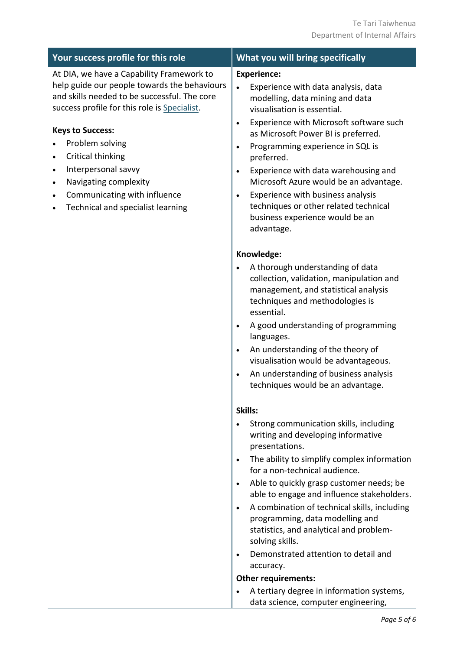| Your success profile for this role                                                                                                                                                                                                                                                                                                                                                                                                         | What you will bring specifically                                                                                                                                                                                                                                                                                                                                                                                                                                                                                                                                                                                                                                                          |
|--------------------------------------------------------------------------------------------------------------------------------------------------------------------------------------------------------------------------------------------------------------------------------------------------------------------------------------------------------------------------------------------------------------------------------------------|-------------------------------------------------------------------------------------------------------------------------------------------------------------------------------------------------------------------------------------------------------------------------------------------------------------------------------------------------------------------------------------------------------------------------------------------------------------------------------------------------------------------------------------------------------------------------------------------------------------------------------------------------------------------------------------------|
| At DIA, we have a Capability Framework to<br>help guide our people towards the behaviours<br>and skills needed to be successful. The core<br>success profile for this role is Specialist.<br><b>Keys to Success:</b><br>Problem solving<br>Critical thinking<br>$\bullet$<br>Interpersonal savvy<br>$\bullet$<br>Navigating complexity<br>$\bullet$<br>Communicating with influence<br>$\bullet$<br>Technical and specialist learning<br>٠ | <b>Experience:</b><br>Experience with data analysis, data<br>$\bullet$<br>modelling, data mining and data<br>visualisation is essential.<br>Experience with Microsoft software such<br>$\bullet$<br>as Microsoft Power BI is preferred.<br>Programming experience in SQL is<br>$\bullet$<br>preferred.<br>Experience with data warehousing and<br>$\bullet$<br>Microsoft Azure would be an advantage.<br>Experience with business analysis<br>$\bullet$<br>techniques or other related technical<br>business experience would be an<br>advantage.                                                                                                                                         |
|                                                                                                                                                                                                                                                                                                                                                                                                                                            | Knowledge:<br>A thorough understanding of data<br>$\bullet$<br>collection, validation, manipulation and<br>management, and statistical analysis<br>techniques and methodologies is<br>essential.<br>A good understanding of programming<br>$\bullet$<br>languages.<br>An understanding of the theory of<br>$\bullet$<br>visualisation would be advantageous.<br>An understanding of business analysis<br>$\bullet$<br>techniques would be an advantage.                                                                                                                                                                                                                                   |
|                                                                                                                                                                                                                                                                                                                                                                                                                                            | Skills:<br>Strong communication skills, including<br>$\bullet$<br>writing and developing informative<br>presentations.<br>The ability to simplify complex information<br>$\bullet$<br>for a non-technical audience.<br>Able to quickly grasp customer needs; be<br>$\bullet$<br>able to engage and influence stakeholders.<br>A combination of technical skills, including<br>$\bullet$<br>programming, data modelling and<br>statistics, and analytical and problem-<br>solving skills.<br>Demonstrated attention to detail and<br>$\bullet$<br>accuracy.<br><b>Other requirements:</b><br>A tertiary degree in information systems,<br>$\bullet$<br>data science, computer engineering, |